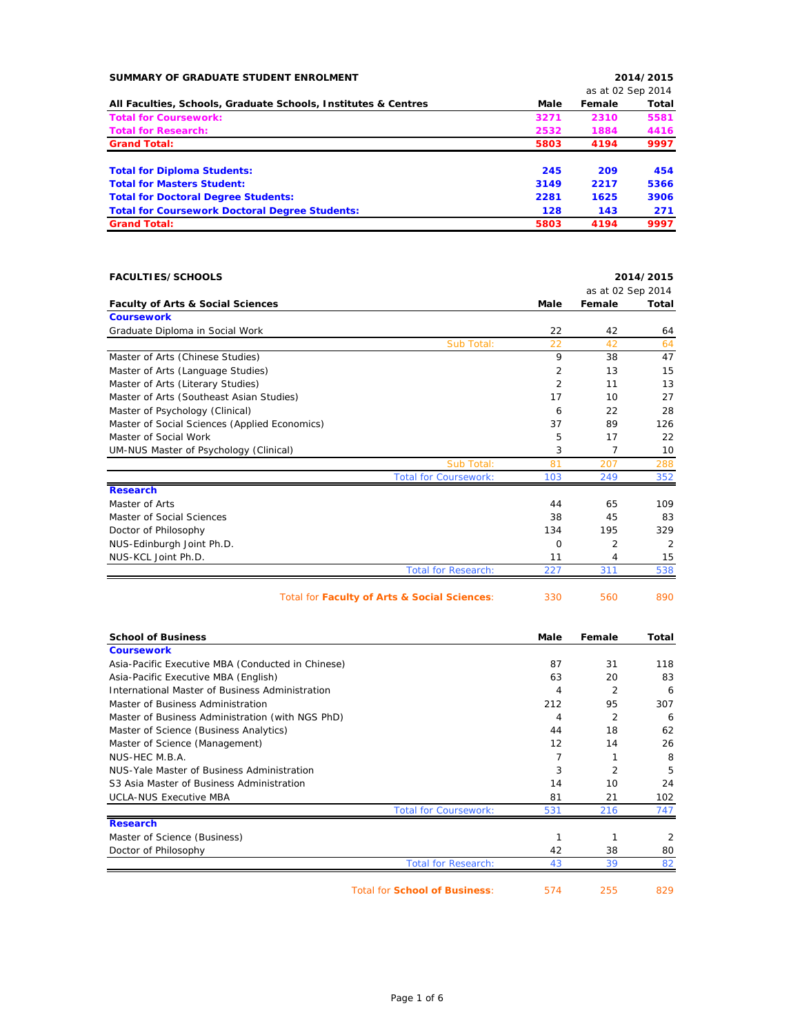| SUMMARY OF GRADUATE STUDENT ENROLMENT                                  |                     |                   | 2014/2015      |
|------------------------------------------------------------------------|---------------------|-------------------|----------------|
|                                                                        |                     | as at 02 Sep 2014 |                |
| All Faculties, Schools, Graduate Schools, Institutes & Centres         | Male                | Female            | Total          |
| <b>Total for Coursework:</b>                                           | 3271                | 2310              | 5581           |
| <b>Total for Research:</b>                                             | 2532                | 1884              | 4416           |
| <b>Grand Total:</b>                                                    | 5803                | 4194              | 9997           |
|                                                                        |                     |                   |                |
| <b>Total for Diploma Students:</b>                                     | 245                 | 209               | 454            |
| <b>Total for Masters Student:</b>                                      | 3149                | 2217              | 5366           |
| <b>Total for Doctoral Degree Students:</b>                             | 2281                | 1625              | 3906           |
| <b>Total for Coursework Doctoral Degree Students:</b>                  | 128                 | 143               | 271            |
| <b>Grand Total:</b>                                                    | 5803                | 4194              | 9997           |
|                                                                        |                     |                   |                |
|                                                                        |                     |                   |                |
| <b>FACULTIES/SCHOOLS</b>                                               |                     |                   | 2014/2015      |
|                                                                        |                     | as at 02 Sep 2014 |                |
| <b>Faculty of Arts &amp; Social Sciences</b>                           | Male                | Female            | Total          |
| <b>Coursework</b>                                                      |                     |                   |                |
| Graduate Diploma in Social Work                                        | 22                  | 42                | 64             |
| Sub Total:                                                             | 22                  | 42                | 64             |
| Master of Arts (Chinese Studies)                                       | 9                   | 38                | 47             |
| Master of Arts (Language Studies)                                      | 2<br>$\overline{2}$ | 13<br>11          | 15             |
| Master of Arts (Literary Studies)                                      |                     |                   | 13<br>27       |
| Master of Arts (Southeast Asian Studies)                               | 17                  | 10                |                |
| Master of Psychology (Clinical)                                        | 6                   | 22                | 28             |
| Master of Social Sciences (Applied Economics)<br>Master of Social Work | 37<br>5             | 89<br>17          | 126<br>22      |
|                                                                        | 3                   | 7                 | 10             |
| UM-NUS Master of Psychology (Clinical)<br>Sub Total:                   |                     | 207               |                |
| <b>Total for Coursework:</b>                                           | 81<br>103           | 249               | 288<br>352     |
| <b>Research</b>                                                        |                     |                   |                |
| Master of Arts                                                         | 44                  | 65                | 109            |
| Master of Social Sciences                                              | 38                  | 45                | 83             |
| Doctor of Philosophy                                                   | 134                 | 195               | 329            |
| NUS-Edinburgh Joint Ph.D.                                              | 0                   | $\overline{2}$    | $\overline{2}$ |
| NUS-KCL Joint Ph.D.                                                    | 11                  | 4                 | 15             |
| <b>Total for Research:</b>                                             | 227                 | 311               | 538            |
|                                                                        |                     |                   |                |
| Total for Faculty of Arts & Social Sciences:                           | 330                 | 560               | 890            |
| <b>School of Business</b>                                              | Male                | Female            | Total          |
| <b>Coursework</b>                                                      |                     |                   |                |
| Asia-Pacific Executive MBA (Conducted in Chinese)                      | 87                  | 31                | 118            |
| Asia-Pacific Executive MBA (English)                                   | 63                  | 20                | 83             |
| International Master of Business Administration                        | 4                   | 2                 | 6              |
| Master of Business Administration                                      | 212                 | 95                | 307            |
| Master of Business Administration (with NGS PhD)                       | 4                   | 2                 | 6              |
| Master of Science (Business Analytics)                                 | 44                  | 18                | 62             |
| Master of Science (Management)                                         | 12                  | 14                | 26             |
| NUS-HEC M.B.A.                                                         | 7                   | 1                 | 8              |
| NUS-Yale Master of Business Administration                             | 3                   | 2                 | 5              |
| S3 Asia Master of Business Administration                              | 14                  | 10                | 24             |
| <b>UCLA-NUS Executive MBA</b>                                          | 81                  | 21                | 102            |
| <b>Total for Coursework:</b>                                           | 531                 | 216               | 747            |
| <b>Research</b>                                                        |                     |                   |                |
| Master of Science (Business)                                           | $\mathbf{1}$        | 1                 | 2              |
| Doctor of Philosophy                                                   | 42                  | 38                | 80             |

Total for **School of Business**: 574 255 829

Total for Research: 43 39 82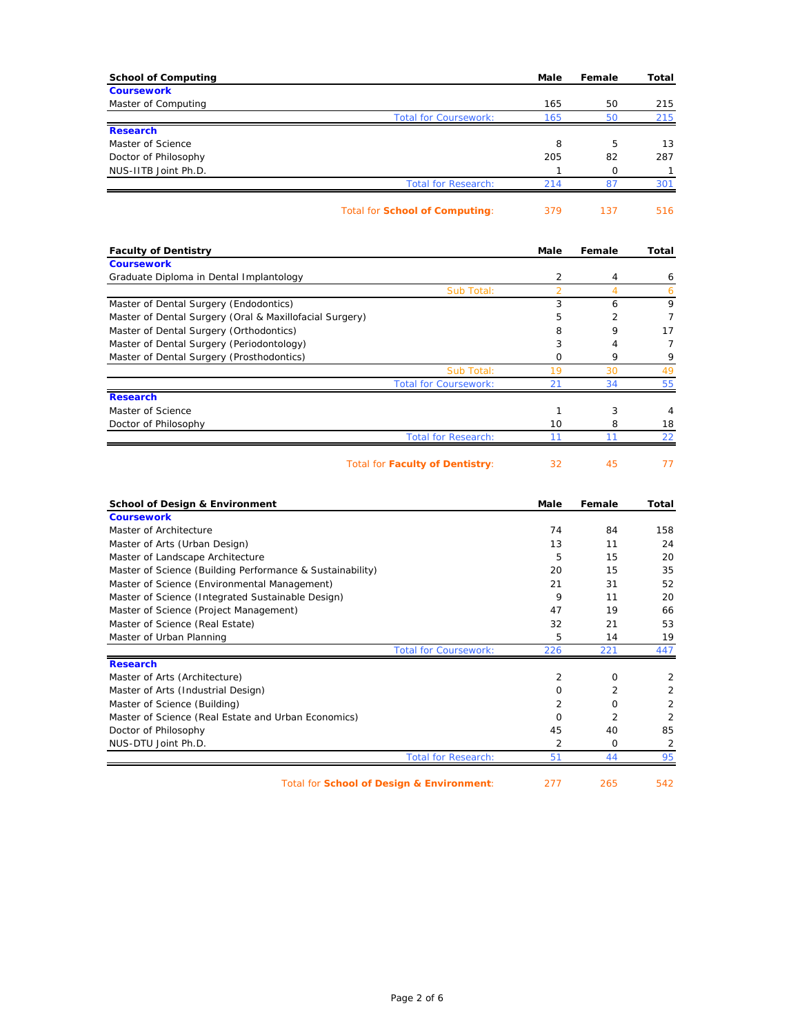| <b>School of Computing</b>                                     | Male           | Female         | Total          |
|----------------------------------------------------------------|----------------|----------------|----------------|
| <b>Coursework</b>                                              |                |                |                |
| Master of Computing                                            | 165            | 50             | 215            |
| <b>Total for Coursework:</b>                                   | 165            | 50             | 215            |
| <b>Research</b>                                                |                |                |                |
| Master of Science                                              | 8              | 5              | 13             |
| Doctor of Philosophy                                           | 205            | 82             | 287            |
| NUS-IITB Joint Ph.D.                                           | 1<br>214       | 0<br>87        | 1<br>301       |
| <b>Total for Research:</b>                                     |                |                |                |
| <b>Total for School of Computing:</b>                          | 379            | 137            | 516            |
|                                                                |                |                |                |
| <b>Faculty of Dentistry</b>                                    | Male           | Female         | Total          |
| <b>Coursework</b>                                              |                |                |                |
| Graduate Diploma in Dental Implantology                        | 2              | 4              | 6              |
| Sub Total:                                                     | $\overline{2}$ | $\overline{4}$ | 6              |
| Master of Dental Surgery (Endodontics)                         | 3              | 6              | 9              |
| Master of Dental Surgery (Oral & Maxillofacial Surgery)        | 5              | $\overline{2}$ | $\overline{7}$ |
| Master of Dental Surgery (Orthodontics)                        | 8              | 9              | 17             |
| Master of Dental Surgery (Periodontology)                      | 3              | $\overline{4}$ | $\overline{7}$ |
| Master of Dental Surgery (Prosthodontics)                      | 0              | 9              | 9              |
| Sub Total:                                                     | 19             | 30             | 49             |
| <b>Total for Coursework:</b>                                   | 21             | 34             | 55             |
| <b>Research</b><br>Master of Science                           |                |                |                |
|                                                                | 1<br>10        | 3<br>8         | 4<br>18        |
| Doctor of Philosophy<br><b>Total for Research:</b>             | 11             | 11             | 22             |
|                                                                |                |                |                |
| <b>Total for Faculty of Dentistry:</b>                         | 32             | 45             | 77             |
|                                                                |                |                |                |
| <b>School of Design &amp; Environment</b><br><b>Coursework</b> | Male           | Female         | Total          |
| Master of Architecture                                         | 74             | 84             | 158            |
| Master of Arts (Urban Design)                                  | 13             | 11             | 24             |
| Master of Landscape Architecture                               | 5              | 15             | 20             |
| Master of Science (Building Performance & Sustainability)      | 20             | 15             | 35             |
| Master of Science (Environmental Management)                   | 21             | 31             | 52             |
| Master of Science (Integrated Sustainable Design)              | 9              | 11             | 20             |
| Master of Science (Project Management)                         | 47             | 19             | 66             |
| Master of Science (Real Estate)                                | 32             | 21             | 53             |
| Master of Urban Planning                                       | 5              | 14             | 19             |
| <b>Total for Coursework:</b>                                   | 226            | 221            | 447            |
| <b>Research</b>                                                |                |                |                |
| Master of Arts (Architecture)                                  | 2              | 0              | 2              |
| Master of Arts (Industrial Design)                             | 0              | $\overline{2}$ | $\overline{2}$ |
|                                                                |                | 0              | $\overline{2}$ |
| Master of Science (Building)                                   | 2              |                |                |
| Master of Science (Real Estate and Urban Economics)            | 0              | 2              | $\overline{2}$ |
| Doctor of Philosophy                                           | 45             | 40             | 85             |
| NUS-DTU Joint Ph.D.<br><b>Total for Research:</b>              | $\overline{2}$ | 0<br>44        | 2<br>95        |

Total for **School of Design & Environment**: 277 265 542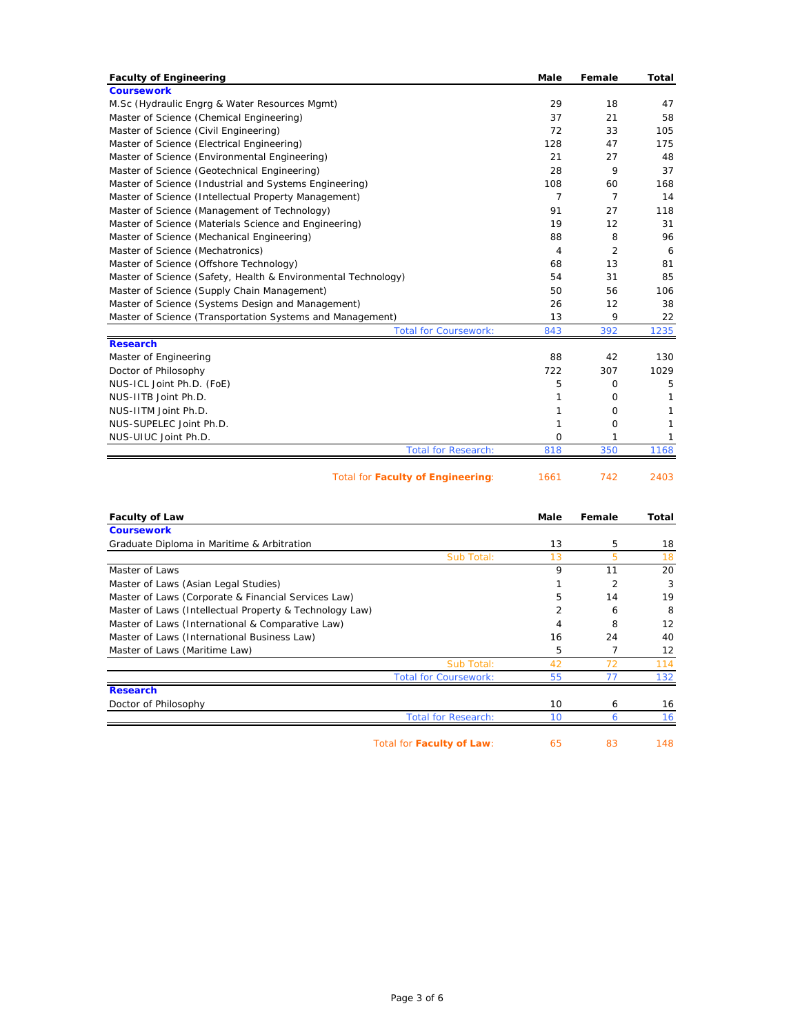| <b>Faculty of Engineering</b>                                 | Male           | Female         | <b>Total</b> |
|---------------------------------------------------------------|----------------|----------------|--------------|
| <b>Coursework</b>                                             |                |                |              |
| M.Sc (Hydraulic Engrg & Water Resources Mgmt)                 | 29             | 18             | 47           |
| Master of Science (Chemical Engineering)                      | 37             | 21             | 58           |
| Master of Science (Civil Engineering)                         | 72             | 33             | 105          |
| Master of Science (Electrical Engineering)                    | 128            | 47             | 175          |
| Master of Science (Environmental Engineering)                 | 21             | 27             | 48           |
| Master of Science (Geotechnical Engineering)                  | 28             | 9              | 37           |
| Master of Science (Industrial and Systems Engineering)        | 108            | 60             | 168          |
| Master of Science (Intellectual Property Management)          | $\overline{7}$ | $\overline{7}$ | 14           |
| Master of Science (Management of Technology)                  | 91             | 27             | 118          |
| Master of Science (Materials Science and Engineering)         | 19             | 12             | 31           |
| Master of Science (Mechanical Engineering)                    | 88             | 8              | 96           |
| Master of Science (Mechatronics)                              | $\overline{4}$ | $\overline{2}$ | 6            |
| Master of Science (Offshore Technology)                       | 68             | 13             | 81           |
| Master of Science (Safety, Health & Environmental Technology) | 54             | 31             | 85           |
| Master of Science (Supply Chain Management)                   | 50             | 56             | 106          |
| Master of Science (Systems Design and Management)             | 26             | 12             | 38           |
| Master of Science (Transportation Systems and Management)     | 13             | 9              | 22           |
| <b>Total for Coursework:</b>                                  | 843            | 392            | 1235         |
| <b>Research</b>                                               |                |                |              |
| Master of Engineering                                         | 88             | 42             | 130          |
| Doctor of Philosophy                                          | 722            | 307            | 1029         |
| NUS-ICL Joint Ph.D. (FoE)                                     | 5              | $\mathbf 0$    | 5            |
| NUS-IITB Joint Ph.D.                                          | 1              | $\Omega$       | 1            |
| NUS-IITM Joint Ph.D.                                          | 1              | O              | $\mathbf{1}$ |
| NUS-SUPELEC Joint Ph.D.                                       | 1              | $\mathbf 0$    | 1            |
| NUS-UIUC Joint Ph.D.                                          | 0              | 1              | 1            |
| <b>Total for Research:</b>                                    | 818            | 350            | 1168         |
| Total for Faculty of Engineering:                             | 1661           | 742            | 2403         |
|                                                               |                |                |              |
| <b>Faculty of Law</b>                                         | Male           | Female         | Total        |
| <b>Coursework</b>                                             |                |                |              |
| Graduate Diploma in Maritime & Arbitration                    | 13             | 5              | 18           |
| Sub Total:                                                    | 13             | 5              | 18           |
| Master of Laws                                                | 9              | 11             | 20           |
| Master of Laws (Asian Legal Studies)                          | 1              | $\overline{2}$ | 3            |
| Master of Laws (Corporate & Financial Services Law)           | 5              | 14             | 19           |
| Master of Laws (Intellectual Property & Technology Law)       | $\overline{2}$ | 6              | 8            |
| Master of Laws (International & Comparative Law)              | 4              | 8              | 12           |
|                                                               |                |                |              |

| Master of Laws (International Business Law) |                              | 16 | 24 | 40  |
|---------------------------------------------|------------------------------|----|----|-----|
| Master of Laws (Maritime Law)               |                              | ь  |    | 12  |
|                                             | Sub Total:                   |    | 72 |     |
|                                             | <b>Total for Coursework:</b> | 55 |    | 132 |
| <b>Research</b>                             |                              |    |    |     |
| Doctor of Philosophy                        |                              | 10 |    | 16  |
|                                             | <b>Total for Research:</b>   |    |    | 16  |
|                                             |                              |    |    |     |

Total for **Faculty of Law**: 65 83 148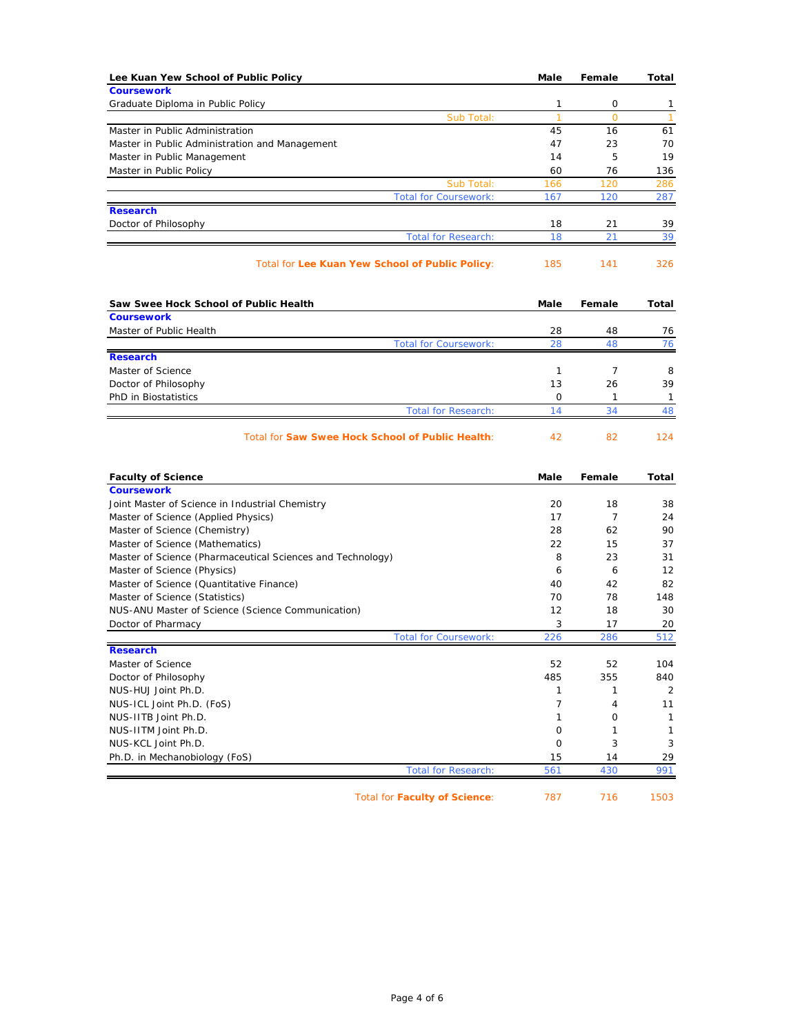| Lee Kuan Yew School of Public Policy                       | Male              | Female       | Total              |
|------------------------------------------------------------|-------------------|--------------|--------------------|
| <b>Coursework</b>                                          |                   |              |                    |
| Graduate Diploma in Public Policy                          | 1                 | 0            | 1                  |
| Sub Total:                                                 | 1                 | 0            | $\mathbf{1}$       |
| Master in Public Administration                            | 45                | 16           | 61                 |
| Master in Public Administration and Management             | 47<br>14          | 23<br>5      | 70<br>19           |
| Master in Public Management                                | 60                | 76           | 136                |
| Master in Public Policy<br>Sub Total:                      | 166               | 120          | 286                |
| <b>Total for Coursework:</b>                               | 167               | 120          | 287                |
| <b>Research</b>                                            |                   |              |                    |
| Doctor of Philosophy                                       | 18                | 21           | 39                 |
| <b>Total for Research:</b>                                 | 18                | 21           | 39                 |
| Total for Lee Kuan Yew School of Public Policy:            | 185               | 141          | 326                |
| Saw Swee Hock School of Public Health                      | Male              | Female       | Total              |
| <b>Coursework</b>                                          |                   |              |                    |
| Master of Public Health                                    | 28                | 48           | 76                 |
| <b>Total for Coursework:</b>                               | 28                | 48           | 76                 |
| <b>Research</b>                                            |                   |              |                    |
| Master of Science                                          | 1                 | 7            | 8                  |
| Doctor of Philosophy                                       | 13                | 26           | 39                 |
| PhD in Biostatistics                                       | 0                 | $\mathbf{1}$ | $\mathbf{1}$       |
|                                                            |                   |              |                    |
| <b>Total for Research:</b>                                 | 14                | 34           | 48                 |
| Total for Saw Swee Hock School of Public Health:           | 42                | 82           | 124                |
| <b>Faculty of Science</b>                                  | Male              | Female       | Total              |
| <b>Coursework</b>                                          |                   |              |                    |
| Joint Master of Science in Industrial Chemistry            | 20                | 18           | 38                 |
| Master of Science (Applied Physics)                        | 17                | 7            | 24                 |
| Master of Science (Chemistry)                              | 28                | 62           | 90                 |
| Master of Science (Mathematics)                            | 22                | 15           | 37                 |
| Master of Science (Pharmaceutical Sciences and Technology) | 8                 | 23           | 31                 |
| Master of Science (Physics)                                | 6                 | 6            | 12                 |
| Master of Science (Quantitative Finance)                   | 40                | 42           | 82                 |
| Master of Science (Statistics)                             | 70                | 78           | 148                |
| NUS-ANU Master of Science (Science Communication)          | 12                | 18           | 30                 |
| Doctor of Pharmacy                                         | 3                 | 17           | 20                 |
| <b>Total for Coursework:</b>                               | 226               | 286          | 512                |
| <b>Research</b>                                            |                   |              |                    |
| Master of Science                                          | 52                | 52           | 104                |
| Doctor of Philosophy                                       | 485               | 355          | 840                |
| NUS-HUJ Joint Ph.D.                                        | $\mathbf{1}$<br>7 | 1<br>4       | 2                  |
| NUS-ICL Joint Ph.D. (FoS)<br>NUS-IITB Joint Ph.D.          | 1                 | 0            | 11<br>$\mathbf{1}$ |
|                                                            |                   |              |                    |
| NUS-IITM Joint Ph.D.                                       | 0                 | 1            | 1                  |
| NUS-KCL Joint Ph.D.<br>Ph.D. in Mechanobiology (FoS)       | 0<br>15           | 3<br>14      | 3<br>29            |

Total for **Faculty of Science**: 787 716 1503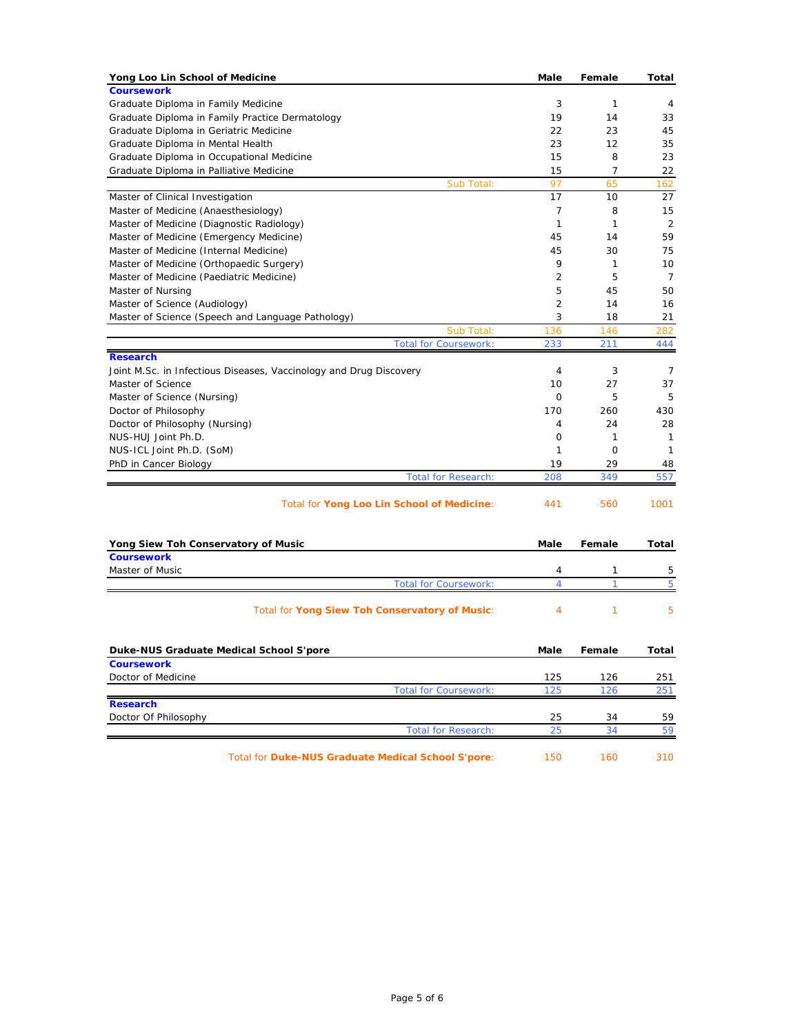| Yong Loo Lin School of Medicine                                    | <b>Male</b>    | Female         | Total        |
|--------------------------------------------------------------------|----------------|----------------|--------------|
| <b>Coursework</b>                                                  |                |                |              |
| Graduate Diploma in Family Medicine                                | 3              | 1              | 4            |
| Graduate Diploma in Family Practice Dermatology                    | 19             | 14             | 33           |
| Graduate Diploma in Geriatric Medicine                             | 22             | 23             | 45           |
| Graduate Diploma in Mental Health                                  | 23             | 12             | 35           |
| Graduate Diploma in Occupational Medicine                          | 15             | 8              | 23           |
| Graduate Diploma in Palliative Medicine                            | 15             | $\overline{7}$ | 22           |
| Sub Total:                                                         | 97             | 65             | 162          |
| Master of Clinical Investigation                                   | 17             | 10             | 27           |
| Master of Medicine (Anaesthesiology)                               | 7              | 8              | 15           |
| Master of Medicine (Diagnostic Radiology)                          | $\mathbf{1}$   | 1              | 2            |
| Master of Medicine (Emergency Medicine)                            | 45             | 14             | 59           |
| Master of Medicine (Internal Medicine)                             | 45             | 30             | 75           |
| Master of Medicine (Orthopaedic Surgery)                           | 9              | 1              | 10           |
| Master of Medicine (Paediatric Medicine)                           | 2              | 5              | 7            |
| Master of Nursing                                                  | 5              | 45             | 50           |
| Master of Science (Audiology)                                      | $\overline{2}$ | 14             | 16           |
| Master of Science (Speech and Language Pathology)                  | 3              | 18             | 21           |
| Sub Total:                                                         | 136            | 146            | 282          |
| <b>Total for Coursework:</b>                                       | 233            | 211            | 444          |
| <b>Research</b>                                                    |                |                |              |
| Joint M.Sc. in Infectious Diseases, Vaccinology and Drug Discovery | $\overline{4}$ | 3              | 7            |
| Master of Science                                                  | 10             | 27             | 37           |
| Master of Science (Nursing)                                        | $\mathbf 0$    | 5              | 5            |
| Doctor of Philosophy                                               | 170            | 260            | 430          |
| Doctor of Philosophy (Nursing)                                     | 4              | 24             | 28           |
| NUS-HUJ Joint Ph.D.                                                | 0              | 1              | 1            |
| NUS-ICL Joint Ph.D. (SoM)                                          | 1              | $\mathbf 0$    | $\mathbf{1}$ |
| PhD in Cancer Biology                                              | 19             | 29             | 48           |
| <b>Total for Research:</b>                                         | 208            | 349            | 557          |
| Total for Yong Loo Lin School of Medicine:                         | 441            | 560            | 1001         |
| Yong Siew Toh Conservatory of Music                                | Male           | Female         | Total        |
| <b>Coursework</b>                                                  |                |                |              |
| Master of Music                                                    | 4              | 1              | 5            |
| <b>Total for Coursework:</b>                                       | $\overline{4}$ | 1              | 5            |
| Total for Yong Siew Toh Conservatory of Music:                     | 4              | 1              | 5            |
| Duke-NUS Graduate Medical School S'pore                            | Male           | Female         | Total        |
| <b>Coursework</b>                                                  |                |                |              |
| Doctor of Medicine                                                 | 125            | 126            | 251          |
| <b>Total for Coursework:</b>                                       | 125            | 126            | 251          |
| <b>Research</b>                                                    |                |                |              |
| Doctor Of Philosophy                                               | 25             | 34             | 59           |
| <b>Total for Research:</b>                                         | 25             | 34             | 59           |
| Total for Duke-NUS Graduate Medical School S'pore:                 | 150            | 160            | 310          |